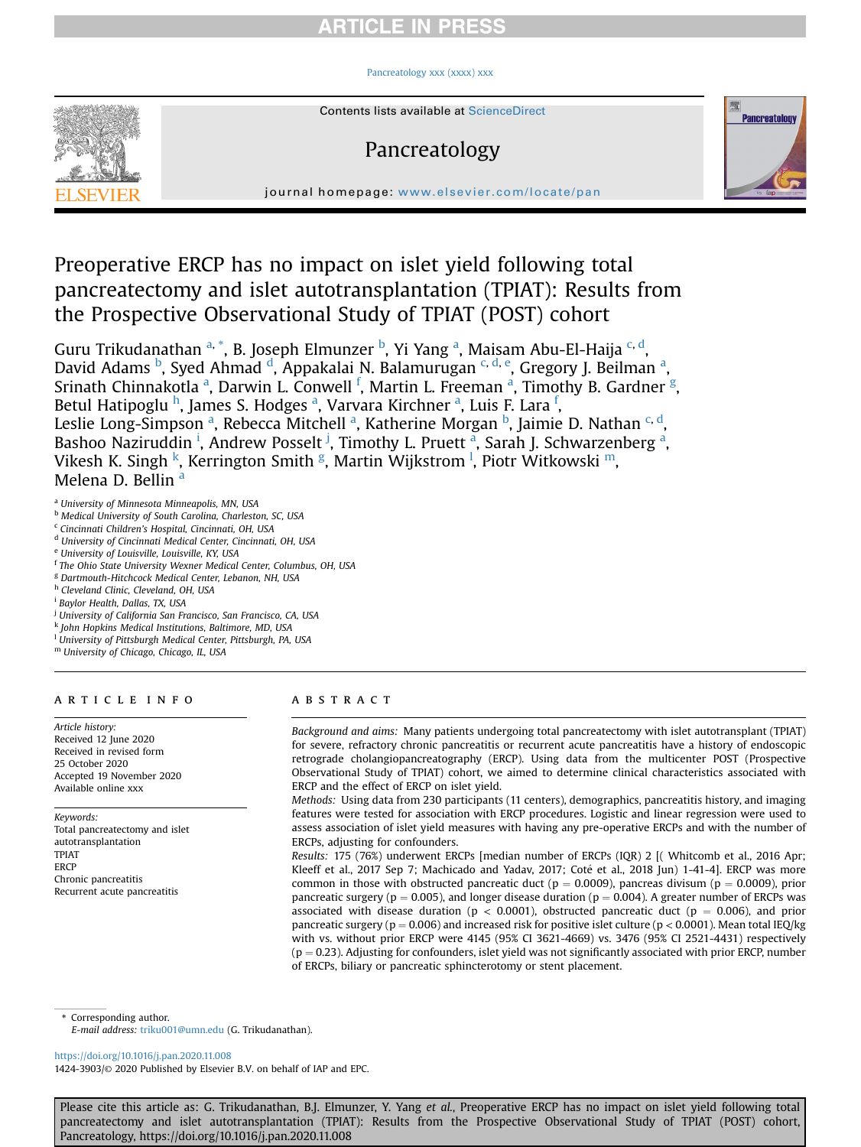# **RTICLE IN PRES**

# [Pancreatology xxx \(xxxx\) xxx](https://doi.org/10.1016/j.pan.2020.11.008)



# Pancreatology



journal homepage: [www.elsevier.com/locate/pan](http://www.elsevier.com/locate/pan)

# Preoperative ERCP has no impact on islet yield following total pancreatectomy and islet autotransplantation (TPIAT): Results from the Prospective Observational Study of TPIAT (POST) cohort

Guru Trikudanathan <sup>[a,](#page-0-0) [\\*](#page-0-1)</sup>, B. Joseph Elmunzer <sup>[b](#page-0-2)</sup>, Yi Y[a](#page-0-0)ng <sup>a</sup>, Maisam Abu-El-Haija <sup>[c,](#page-0-3) [d](#page-0-4)</sup>, David Adams <sup>[b](#page-0-2)</sup>, Sye[d](#page-0-4) Ahmad <sup>d</sup>, Appakalai N. Balamurugan <sup>[c](#page-0-3), d, [e](#page-0-5)</sup>, Gregory J. Beilm[a](#page-0-0)n <sup>a</sup>, Srin[a](#page-0-0)th Chinnakotla <sup>a</sup>, Darwin L. Conwell <sup>[f](#page-0-6)</sup>, Martin L. Freeman <sup>a</sup>, Timothy B. Gardner <sup>[g](#page-0-7)</sup>, Betul Hatipoglu <sup>[h](#page-0-8)</sup>, J[a](#page-0-0)mes S. Hodges <sup>a</sup>, Varvara Kirchner <sup>a</sup>, Luis F. Lara <sup>[f](#page-0-6)</sup>, Leslie Long-Simpson <sup>[a](#page-0-0)</sup>, Re[b](#page-0-2)e[c](#page-0-3)ca Mitchell <sup>a</sup>, Katherine Morgan <sup>b</sup>, Jaimie D. Nathan <sup>c, [d](#page-0-4)</sup>, Bashoo Naz[i](#page-0-9)ruddin <sup>i</sup>, Andrew Posselt <sup>[j](#page-0-10)</sup>, Timothy L. Pruett <sup>[a](#page-0-0)</sup>, Sarah J. Schwarzenberg <sup>a</sup>, Vi[k](#page-0-11)esh K. Sin[g](#page-0-7)h <sup>k</sup>, Kerrington Smith <sup>g</sup>, Martin Wijkstrom <sup>[l](#page-0-12)</sup>, Piotr Witkowski <sup>m</sup>, Melen[a](#page-0-0) D. Bellin<sup>a</sup>

- <span id="page-0-0"></span><sup>a</sup> University of Minnesota Minneapolis, MN, USA
- <span id="page-0-2"></span>**b Medical University of South Carolina, Charleston, SC, USA**
- <span id="page-0-3"></span><sup>c</sup> Cincinnati Children's Hospital, Cincinnati, OH, USA
- <span id="page-0-4"></span><sup>d</sup> University of Cincinnati Medical Center, Cincinnati, OH, USA
- <span id="page-0-5"></span><sup>e</sup> University of Louisville, Louisville, KY, USA
- <span id="page-0-6"></span><sup>f</sup> The Ohio State University Wexner Medical Center, Columbus, OH, USA
- <span id="page-0-7"></span><sup>g</sup> Dartmouth-Hitchcock Medical Center, Lebanon, NH, USA
- <span id="page-0-8"></span>h Cleveland Clinic, Cleveland, OH, USA
- <span id="page-0-9"></span><sup>i</sup> Baylor Health, Dallas, TX, USA
- <span id="page-0-10"></span><sup>j</sup> University of California San Francisco, San Francisco, CA, USA
- <span id="page-0-11"></span><sup>k</sup> John Hopkins Medical Institutions, Baltimore, MD, USA
- <span id="page-0-12"></span><sup>1</sup> University of Pittsburgh Medical Center, Pittsburgh, PA, USA
- <span id="page-0-13"></span><sup>m</sup> University of Chicago, Chicago, IL, USA

# article info

Article history: Received 12 June 2020 Received in revised form 25 October 2020 Accepted 19 November 2020 Available online xxx

Keywords: Total pancreatectomy and islet autotransplantation TPIAT **ERCP** Chronic pancreatitis Recurrent acute pancreatitis

# A B S T R A C T

Background and aims: Many patients undergoing total pancreatectomy with islet autotransplant (TPIAT) for severe, refractory chronic pancreatitis or recurrent acute pancreatitis have a history of endoscopic retrograde cholangiopancreatography (ERCP). Using data from the multicenter POST (Prospective Observational Study of TPIAT) cohort, we aimed to determine clinical characteristics associated with ERCP and the effect of ERCP on islet yield.

Methods: Using data from 230 participants (11 centers), demographics, pancreatitis history, and imaging features were tested for association with ERCP procedures. Logistic and linear regression were used to assess association of islet yield measures with having any pre-operative ERCPs and with the number of ERCPs, adjusting for confounders.

Results: 175 (76%) underwent ERCPs [median number of ERCPs (IQR) 2 [( Whitcomb et al., 2016 Apr; Kleeff et al., 2017 Sep 7; Machicado and Yadav, 2017; Cote et al., 2018 Jun) 1-41-4]. ERCP was more common in those with obstructed pancreatic duct ( $p = 0.0009$ ), pancreas divisum ( $p = 0.0009$ ), prior pancreatic surgery ( $p = 0.005$ ), and longer disease duration ( $p = 0.004$ ). A greater number of ERCPs was associated with disease duration ( $p < 0.0001$ ), obstructed pancreatic duct ( $p = 0.006$ ), and prior pancreatic surgery ( $p = 0.006$ ) and increased risk for positive islet culture ( $p < 0.0001$ ). Mean total IEQ/kg with vs. without prior ERCP were 4145 (95% CI 3621-4669) vs. 3476 (95% CI 2521-4431) respectively  $(p = 0.23)$ . Adjusting for confounders, islet yield was not significantly associated with prior ERCP, number of ERCPs, biliary or pancreatic sphincterotomy or stent placement.

<span id="page-0-1"></span>\* Corresponding author. E-mail address: [triku001@umn.edu](mailto:triku001@umn.edu) (G. Trikudanathan).

<https://doi.org/10.1016/j.pan.2020.11.008>

1424-3903/© 2020 Published by Elsevier B.V. on behalf of IAP and EPC.

Please cite this article as: G. Trikudanathan, B.J. Elmunzer, Y. Yang et al., Preoperative ERCP has no impact on islet yield following total pancreatectomy and islet autotransplantation (TPIAT): Results from the Prospective Observational Study of TPIAT (POST) cohort, Pancreatology, https://doi.org/10.1016/j.pan.2020.11.008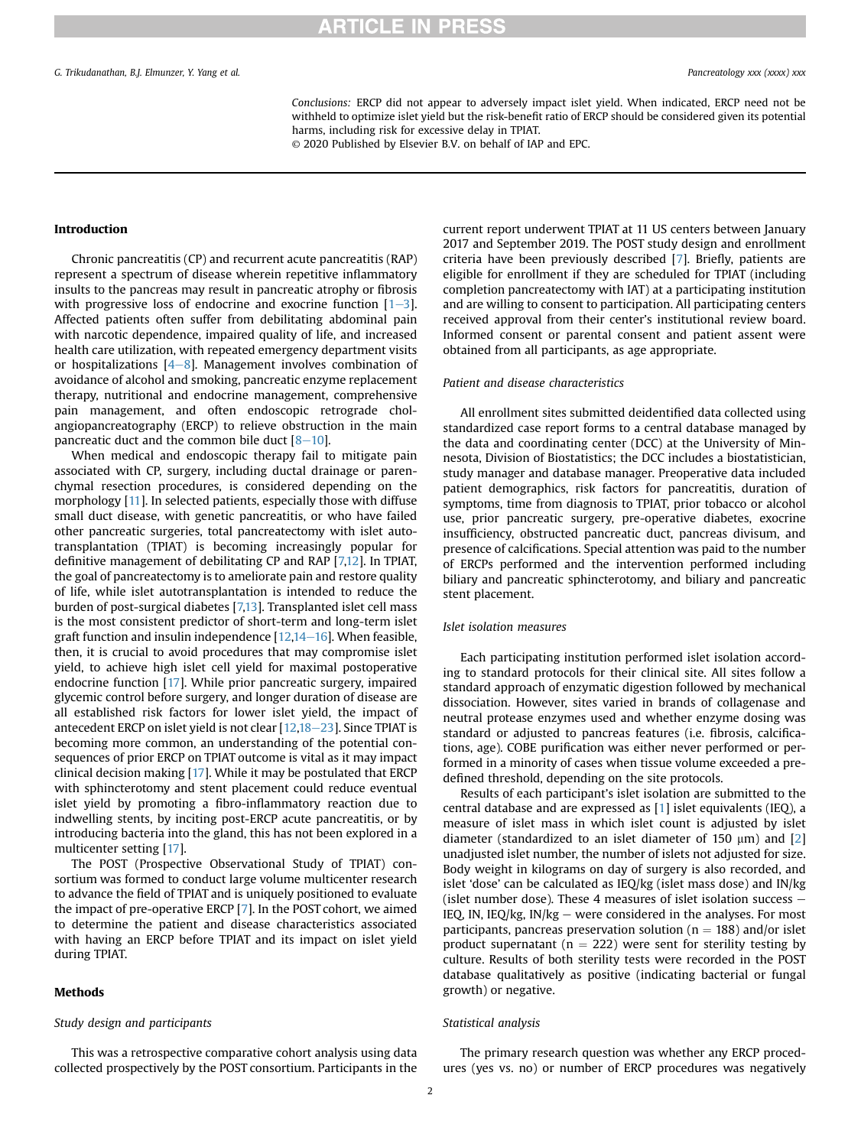Conclusions: ERCP did not appear to adversely impact islet yield. When indicated, ERCP need not be withheld to optimize islet yield but the risk-benefit ratio of ERCP should be considered given its potential harms, including risk for excessive delay in TPIAT.

© 2020 Published by Elsevier B.V. on behalf of IAP and EPC.

# Introduction

Chronic pancreatitis (CP) and recurrent acute pancreatitis (RAP) represent a spectrum of disease wherein repetitive inflammatory insults to the pancreas may result in pancreatic atrophy or fibrosis with progressive loss of endocrine and exocrine function  $[1-3]$  $[1-3]$  $[1-3]$  $[1-3]$ . Affected patients often suffer from debilitating abdominal pain with narcotic dependence, impaired quality of life, and increased health care utilization, with repeated emergency department visits or hospitalizations  $[4-8]$  $[4-8]$  $[4-8]$ . Management involves combination of avoidance of alcohol and smoking, pancreatic enzyme replacement therapy, nutritional and endocrine management, comprehensive pain management, and often endoscopic retrograde cholangiopancreatography (ERCP) to relieve obstruction in the main pancreatic duct and the common bile duct  $[8-10]$  $[8-10]$  $[8-10]$  $[8-10]$ .

When medical and endoscopic therapy fail to mitigate pain associated with CP, surgery, including ductal drainage or parenchymal resection procedures, is considered depending on the morphology [[11\]](#page-5-3). In selected patients, especially those with diffuse small duct disease, with genetic pancreatitis, or who have failed other pancreatic surgeries, total pancreatectomy with islet autotransplantation (TPIAT) is becoming increasingly popular for definitive management of debilitating CP and RAP [[7,](#page-5-4)[12](#page-5-5)]. In TPIAT, the goal of pancreatectomy is to ameliorate pain and restore quality of life, while islet autotransplantation is intended to reduce the burden of post-surgical diabetes [[7,](#page-5-4)[13](#page-5-6)]. Transplanted islet cell mass is the most consistent predictor of short-term and long-term islet graft function and insulin independence  $[12,14-16]$  $[12,14-16]$  $[12,14-16]$  $[12,14-16]$ . When feasible, then, it is crucial to avoid procedures that may compromise islet yield, to achieve high islet cell yield for maximal postoperative endocrine function [[17](#page-5-8)]. While prior pancreatic surgery, impaired glycemic control before surgery, and longer duration of disease are all established risk factors for lower islet yield, the impact of antecedent ERCP on islet yield is not clear  $[12,18-23]$  $[12,18-23]$  $[12,18-23]$  $[12,18-23]$  $[12,18-23]$ . Since TPIAT is becoming more common, an understanding of the potential consequences of prior ERCP on TPIAT outcome is vital as it may impact clinical decision making [[17\]](#page-5-8). While it may be postulated that ERCP with sphincterotomy and stent placement could reduce eventual islet yield by promoting a fibro-inflammatory reaction due to indwelling stents, by inciting post-ERCP acute pancreatitis, or by introducing bacteria into the gland, this has not been explored in a multicenter setting [[17](#page-5-8)].

The POST (Prospective Observational Study of TPIAT) consortium was formed to conduct large volume multicenter research to advance the field of TPIAT and is uniquely positioned to evaluate the impact of pre-operative ERCP [[7\]](#page-5-4). In the POST cohort, we aimed to determine the patient and disease characteristics associated with having an ERCP before TPIAT and its impact on islet yield during TPIAT.

# Methods

# Study design and participants

This was a retrospective comparative cohort analysis using data collected prospectively by the POST consortium. Participants in the current report underwent TPIAT at 11 US centers between January 2017 and September 2019. The POST study design and enrollment criteria have been previously described [[7\]](#page-5-4). Briefly, patients are eligible for enrollment if they are scheduled for TPIAT (including completion pancreatectomy with IAT) at a participating institution and are willing to consent to participation. All participating centers received approval from their center's institutional review board. Informed consent or parental consent and patient assent were obtained from all participants, as age appropriate.

# Patient and disease characteristics

All enrollment sites submitted deidentified data collected using standardized case report forms to a central database managed by the data and coordinating center (DCC) at the University of Minnesota, Division of Biostatistics; the DCC includes a biostatistician, study manager and database manager. Preoperative data included patient demographics, risk factors for pancreatitis, duration of symptoms, time from diagnosis to TPIAT, prior tobacco or alcohol use, prior pancreatic surgery, pre-operative diabetes, exocrine insufficiency, obstructed pancreatic duct, pancreas divisum, and presence of calcifications. Special attention was paid to the number of ERCPs performed and the intervention performed including biliary and pancreatic sphincterotomy, and biliary and pancreatic stent placement.

# Islet isolation measures

Each participating institution performed islet isolation according to standard protocols for their clinical site. All sites follow a standard approach of enzymatic digestion followed by mechanical dissociation. However, sites varied in brands of collagenase and neutral protease enzymes used and whether enzyme dosing was standard or adjusted to pancreas features (i.e. fibrosis, calcifications, age). COBE purification was either never performed or performed in a minority of cases when tissue volume exceeded a predefined threshold, depending on the site protocols.

Results of each participant's islet isolation are submitted to the central database and are expressed as [[1\]](#page-5-0) islet equivalents (IEQ), a measure of islet mass in which islet count is adjusted by islet diameter (standardized to an islet diameter of 150  $\mu$ m) and [[2\]](#page-5-10) unadjusted islet number, the number of islets not adjusted for size. Body weight in kilograms on day of surgery is also recorded, and islet 'dose' can be calculated as IEQ/kg (islet mass dose) and IN/kg (islet number dose). These 4 measures of islet isolation success  $-$ IEQ, IN, IEQ/kg,  $IN/kg$  – were considered in the analyses. For most participants, pancreas preservation solution ( $n = 188$ ) and/or islet product supernatant ( $n = 222$ ) were sent for sterility testing by culture. Results of both sterility tests were recorded in the POST database qualitatively as positive (indicating bacterial or fungal growth) or negative.

# Statistical analysis

The primary research question was whether any ERCP procedures (yes vs. no) or number of ERCP procedures was negatively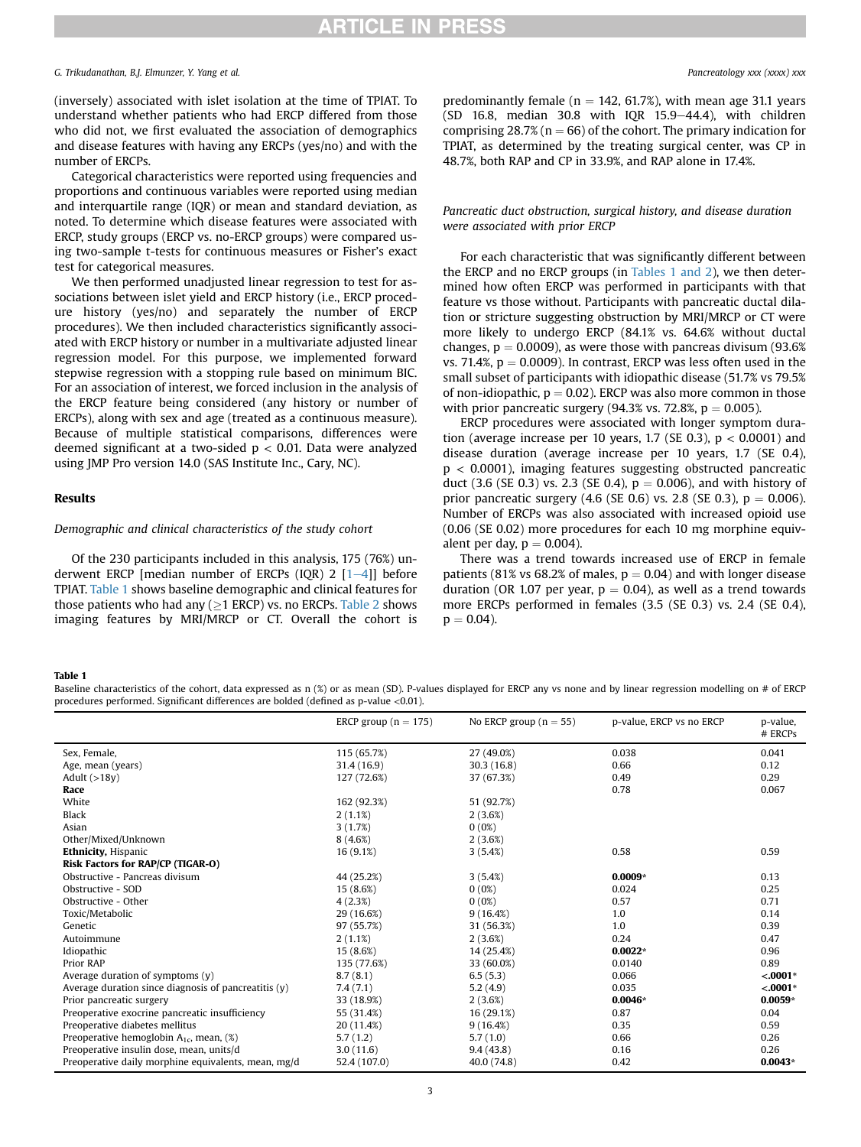G. Trikudanathan, B.J. Elmunzer, Y. Yang et al. Pancreatology xxx (xxxx) xxx (xxxx) xxx

(inversely) associated with islet isolation at the time of TPIAT. To understand whether patients who had ERCP differed from those who did not, we first evaluated the association of demographics and disease features with having any ERCPs (yes/no) and with the number of ERCPs.

Categorical characteristics were reported using frequencies and proportions and continuous variables were reported using median and interquartile range (IQR) or mean and standard deviation, as noted. To determine which disease features were associated with ERCP, study groups (ERCP vs. no-ERCP groups) were compared using two-sample t-tests for continuous measures or Fisher's exact test for categorical measures.

We then performed unadjusted linear regression to test for associations between islet yield and ERCP history (i.e., ERCP procedure history (yes/no) and separately the number of ERCP procedures). We then included characteristics significantly associated with ERCP history or number in a multivariate adjusted linear regression model. For this purpose, we implemented forward stepwise regression with a stopping rule based on minimum BIC. For an association of interest, we forced inclusion in the analysis of the ERCP feature being considered (any history or number of ERCPs), along with sex and age (treated as a continuous measure). Because of multiple statistical comparisons, differences were deemed significant at a two-sided  $p < 0.01$ . Data were analyzed using JMP Pro version 14.0 (SAS Institute Inc., Cary, NC).

# Results

# Demographic and clinical characteristics of the study cohort

Of the 230 participants included in this analysis, 175 (76%) underwent ERCP [median number of ERCPs (IQR)  $2$  [[1](#page-5-0)-[4\]](#page-5-0)] before TPIAT. [Table 1](#page-2-0) shows baseline demographic and clinical features for those patients who had any  $(\geq 1 \text{ ERCP})$  vs. no ERCPs. [Table 2](#page-3-0) shows imaging features by MRI/MRCP or CT. Overall the cohort is predominantly female ( $n = 142, 61.7\%$ ), with mean age 31.1 years (SD 16.8, median 30.8 with IQR 15.9 $-44.4$ ), with children comprising 28.7% ( $n = 66$ ) of the cohort. The primary indication for TPIAT, as determined by the treating surgical center, was CP in 48.7%, both RAP and CP in 33.9%, and RAP alone in 17.4%.

# Pancreatic duct obstruction, surgical history, and disease duration were associated with prior ERCP

For each characteristic that was significantly different between the ERCP and no ERCP groups (in [Tables 1 and 2\)](#page-2-0), we then determined how often ERCP was performed in participants with that feature vs those without. Participants with pancreatic ductal dilation or stricture suggesting obstruction by MRI/MRCP or CT were more likely to undergo ERCP (84.1% vs. 64.6% without ductal changes,  $p = 0.0009$ ), as were those with pancreas divisum (93.6%) vs. 71.4%,  $p = 0.0009$ ). In contrast, ERCP was less often used in the small subset of participants with idiopathic disease (51.7% vs 79.5% of non-idiopathic,  $p = 0.02$ ). ERCP was also more common in those with prior pancreatic surgery (94.3% vs. 72.8%,  $p = 0.005$ ).

ERCP procedures were associated with longer symptom duration (average increase per 10 years, 1.7 (SE 0.3),  $p < 0.0001$ ) and disease duration (average increase per 10 years, 1.7 (SE 0.4),  $p < 0.0001$ ), imaging features suggesting obstructed pancreatic duct (3.6 (SE 0.3) vs. 2.3 (SE 0.4),  $p = 0.006$ ), and with history of prior pancreatic surgery (4.6 (SE 0.6) vs. 2.8 (SE 0.3),  $p = 0.006$ ). Number of ERCPs was also associated with increased opioid use (0.06 (SE 0.02) more procedures for each 10 mg morphine equivalent per day,  $p = 0.004$ ).

There was a trend towards increased use of ERCP in female patients (81% vs 68.2% of males,  $p = 0.04$ ) and with longer disease duration (OR 1.07 per year,  $p = 0.04$ ), as well as a trend towards more ERCPs performed in females (3.5 (SE 0.3) vs. 2.4 (SE 0.4),  $p = 0.04$ ).

#### <span id="page-2-0"></span>Table 1

Baseline characteristics of the cohort, data expressed as n (%) or as mean (SD). P-values displayed for ERCP any vs none and by linear regression modelling on # of ERCP procedures performed. Significant differences are bolded (defined as p-value <0.01).

|                                                        | ERCP group ( $n = 175$ ) | No ERCP group $(n = 55)$ | p-value, ERCP vs no ERCP | p-value,   |
|--------------------------------------------------------|--------------------------|--------------------------|--------------------------|------------|
|                                                        |                          |                          |                          | # ERCPs    |
| Sex, Female,                                           | 115 (65.7%)              | 27 (49.0%)               | 0.038                    | 0.041      |
| Age, mean (years)                                      | 31.4 (16.9)              | 30.3(16.8)               | 0.66                     | 0.12       |
| Adult $(>18y)$                                         | 127 (72.6%)              | 37 (67.3%)               | 0.49                     | 0.29       |
| Race                                                   |                          |                          | 0.78                     | 0.067      |
| White                                                  | 162 (92.3%)              | 51 (92.7%)               |                          |            |
| <b>Black</b>                                           | 2(1.1%)                  | 2(3.6%)                  |                          |            |
| Asian                                                  | 3(1.7%)                  | 0(0%)                    |                          |            |
| Other/Mixed/Unknown                                    | 8(4.6%)                  | 2(3.6%)                  |                          |            |
| <b>Ethnicity, Hispanic</b>                             | 16 (9.1%)                | 3(5.4%)                  | 0.58                     | 0.59       |
| Risk Factors for RAP/CP (TIGAR-O)                      |                          |                          |                          |            |
| Obstructive - Pancreas divisum                         | 44 (25.2%)               | 3(5.4%)                  | $0.0009*$                | 0.13       |
| Obstructive - SOD                                      | 15 (8.6%)                | $0(0\%)$                 | 0.024                    | 0.25       |
| Obstructive - Other                                    | 4(2.3%)                  | 0(0%)                    | 0.57                     | 0.71       |
| Toxic/Metabolic                                        | 29 (16.6%)               | 9(16.4%)                 | 1.0                      | 0.14       |
| Genetic                                                | 97 (55.7%)               | 31 (56.3%)               | 1.0                      | 0.39       |
| Autoimmune                                             | 2(1.1%)                  | 2(3.6%)                  | 0.24                     | 0.47       |
| Idiopathic                                             | 15 (8.6%)                | 14 (25.4%)               | $0.0022*$                | 0.96       |
| Prior RAP                                              | 135 (77.6%)              | 33 (60.0%)               | 0.0140                   | 0.89       |
| Average duration of symptoms $(v)$                     | 8.7(8.1)                 | 6.5(5.3)                 | 0.066                    | $< .0001*$ |
| Average duration since diagnosis of pancreatitis $(y)$ | 7.4(7.1)                 | 5.2(4.9)                 | 0.035                    | $< .0001*$ |
| Prior pancreatic surgery                               | 33 (18.9%)               | 2(3.6%)                  | $0.0046*$                | $0.0059*$  |
| Preoperative exocrine pancreatic insufficiency         | 55 (31.4%)               | 16 (29.1%)               | 0.87                     | 0.04       |
| Preoperative diabetes mellitus                         | 20 (11.4%)               | 9(16.4%)                 | 0.35                     | 0.59       |
| Preoperative hemoglobin $A_{1c}$ , mean, $(\%)$        | 5.7(1.2)                 | 5.7(1.0)                 | 0.66                     | 0.26       |
| Preoperative insulin dose, mean, units/d               | 3.0(11.6)                | 9.4(43.8)                | 0.16                     | 0.26       |
| Preoperative daily morphine equivalents, mean, mg/d    | 52.4 (107.0)             | 40.0 (74.8)              | 0.42                     | $0.0043*$  |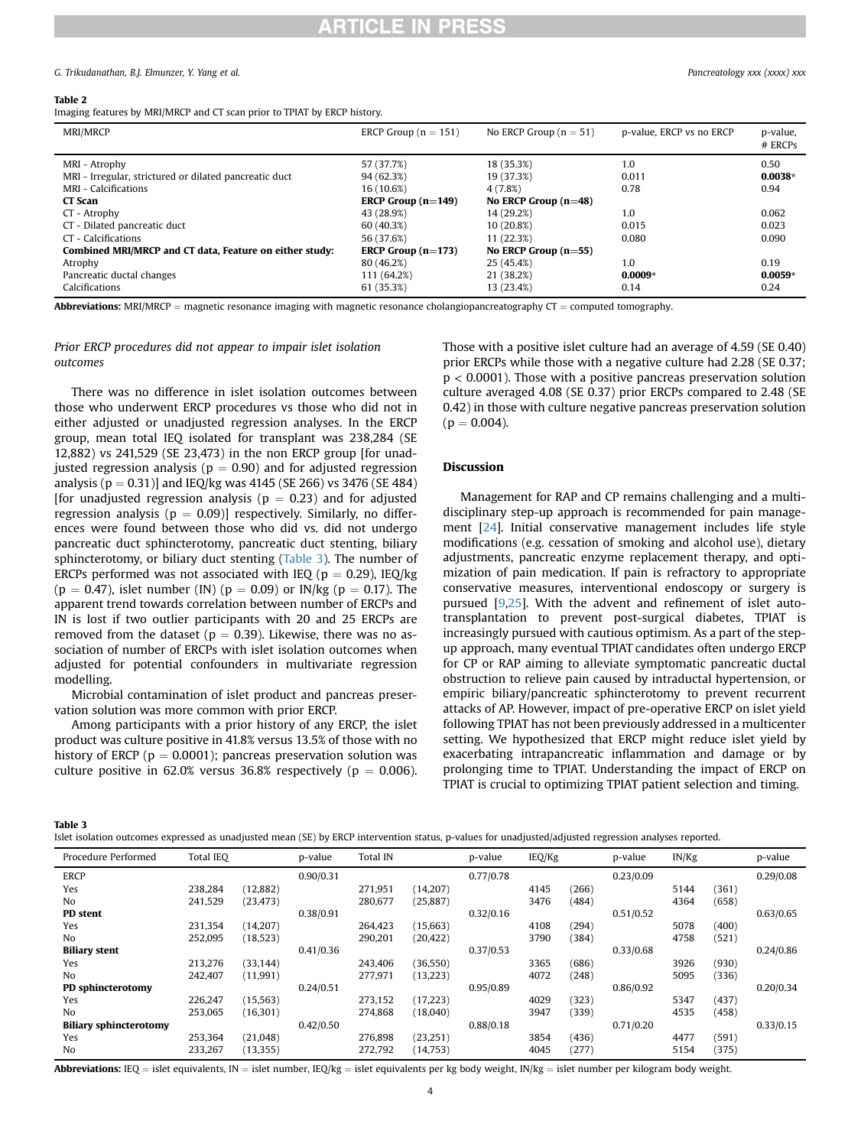# **RTICLE IN PRESS**

#### G. Trikudanathan, B.J. Elmunzer, Y. Yang et al. Pancreatology xxx (xxxx) xxx (xxxx) xxx

# <span id="page-3-0"></span>Table 2

Imaging features by MRI/MRCP and CT scan prior to TPIAT by ERCP history.

| <b>MRI/MRCP</b>                                         | ERCP Group $(n = 151)$ | No ERCP Group $(n = 51)$ | p-value, ERCP vs no ERCP | p-value,<br># ERCPs |
|---------------------------------------------------------|------------------------|--------------------------|--------------------------|---------------------|
| MRI - Atrophy                                           | 57 (37.7%)             | 18 (35.3%)               | 1.0                      | 0.50                |
| MRI - Irregular, strictured or dilated pancreatic duct  | 94 (62.3%)             | 19 (37.3%)               | 0.011                    | $0.0038*$           |
| MRI - Calcifications                                    | 16 (10.6%)             | 4(7.8%)                  | 0.78                     | 0.94                |
| <b>CT</b> Scan                                          | ERCP Group $(n=149)$   | No ERCP Group $(n=48)$   |                          |                     |
| CT - Atrophy                                            | 43 (28.9%)             | 14 (29.2%)               | 1.0                      | 0.062               |
| CT - Dilated pancreatic duct                            | 60 (40.3%)             | 10 (20.8%)               | 0.015                    | 0.023               |
| CT - Calcifications                                     | 56 (37.6%)             | 11 (22.3%)               | 0.080                    | 0.090               |
| Combined MRI/MRCP and CT data, Feature on either study: | ERCP Group $(n=173)$   | No ERCP Group $(n=55)$   |                          |                     |
| Atrophy                                                 | 80 (46.2%)             | 25 (45.4%)               | 1.0                      | 0.19                |
| Pancreatic ductal changes                               | 111 (64.2%)            | 21 (38.2%)               | $0.0009*$                | $0.0059*$           |
| <b>Calcifications</b>                                   | 61 (35.3%)             | 13 (23.4%)               | 0.14                     | 0.24                |

**Abbreviations:** MRI/MRCP = magnetic resonance imaging with magnetic resonance cholangiopancreatography  $CT =$  computed tomography.

# Prior ERCP procedures did not appear to impair islet isolation outcomes

There was no difference in islet isolation outcomes between those who underwent ERCP procedures vs those who did not in either adjusted or unadjusted regression analyses. In the ERCP group, mean total IEQ isolated for transplant was 238,284 (SE 12,882) vs 241,529 (SE 23,473) in the non ERCP group [for unadjusted regression analysis ( $p = 0.90$ ) and for adjusted regression analysis ( $p = 0.31$ )] and IEQ/kg was 4145 (SE 266) vs 3476 (SE 484) [for unadjusted regression analysis ( $p = 0.23$ ) and for adjusted regression analysis ( $p = 0.09$ )] respectively. Similarly, no differences were found between those who did vs. did not undergo pancreatic duct sphincterotomy, pancreatic duct stenting, biliary sphincterotomy, or biliary duct stenting [\(Table 3\)](#page-3-1). The number of ERCPs performed was not associated with IEQ ( $p = 0.29$ ), IEQ/kg  $(p = 0.47)$ , islet number (IN)  $(p = 0.09)$  or IN/kg  $(p = 0.17)$ . The apparent trend towards correlation between number of ERCPs and IN is lost if two outlier participants with 20 and 25 ERCPs are removed from the dataset ( $p = 0.39$ ). Likewise, there was no association of number of ERCPs with islet isolation outcomes when adjusted for potential confounders in multivariate regression modelling.

Microbial contamination of islet product and pancreas preservation solution was more common with prior ERCP.

Among participants with a prior history of any ERCP, the islet product was culture positive in 41.8% versus 13.5% of those with no history of ERCP ( $p = 0.0001$ ); pancreas preservation solution was culture positive in 62.0% versus 36.8% respectively ( $p = 0.006$ ).

Those with a positive islet culture had an average of 4.59 (SE 0.40) prior ERCPs while those with a negative culture had 2.28 (SE 0.37;  $p < 0.0001$ ). Those with a positive pancreas preservation solution culture averaged 4.08 (SE 0.37) prior ERCPs compared to 2.48 (SE 0.42) in those with culture negative pancreas preservation solution  $(p = 0.004)$ .

# Discussion

Management for RAP and CP remains challenging and a multidisciplinary step-up approach is recommended for pain management [\[24\]](#page-5-11). Initial conservative management includes life style modifications (e.g. cessation of smoking and alcohol use), dietary adjustments, pancreatic enzyme replacement therapy, and optimization of pain medication. If pain is refractory to appropriate conservative measures, interventional endoscopy or surgery is pursued [[9,](#page-5-12)[25](#page-5-13)]. With the advent and refinement of islet autotransplantation to prevent post-surgical diabetes, TPIAT is increasingly pursued with cautious optimism. As a part of the stepup approach, many eventual TPIAT candidates often undergo ERCP for CP or RAP aiming to alleviate symptomatic pancreatic ductal obstruction to relieve pain caused by intraductal hypertension, or empiric biliary/pancreatic sphincterotomy to prevent recurrent attacks of AP. However, impact of pre-operative ERCP on islet yield following TPIAT has not been previously addressed in a multicenter setting. We hypothesized that ERCP might reduce islet yield by exacerbating intrapancreatic inflammation and damage or by prolonging time to TPIAT. Understanding the impact of ERCP on TPIAT is crucial to optimizing TPIAT patient selection and timing.

<span id="page-3-1"></span>Table 3

Islet isolation outcomes expressed as unadjusted mean (SE) by ERCP intervention status, p-values for unadjusted/adjusted regression analyses reported.

| Procedure Performed           | Total IEO |           | p-value   | <b>Total IN</b> |           | p-value   | IEQ/Kg |       | p-value   | IN/Kg |       | p-value   |
|-------------------------------|-----------|-----------|-----------|-----------------|-----------|-----------|--------|-------|-----------|-------|-------|-----------|
| <b>ERCP</b>                   |           |           | 0.90/0.31 |                 |           | 0.77/0.78 |        |       | 0.23/0.09 |       |       | 0.29/0.08 |
| Yes                           | 238.284   | (12, 882) |           | 271,951         | (14,207)  |           | 4145   | (266) |           | 5144  | (361) |           |
| No.                           | 241,529   | (23, 473) |           | 280,677         | (25, 887) |           | 3476   | (484) |           | 4364  | (658) |           |
| <b>PD</b> stent               |           |           | 0.38/0.91 |                 |           | 0.32/0.16 |        |       | 0.51/0.52 |       |       | 0.63/0.65 |
| Yes                           | 231.354   | (14,207)  |           | 264,423         | (15, 663) |           | 4108   | (294) |           | 5078  | (400) |           |
| No.                           | 252.095   | (18, 523) |           | 290,201         | (20, 422) |           | 3790   | (384) |           | 4758  | (521) |           |
| <b>Biliary stent</b>          |           |           | 0.41/0.36 |                 |           | 0.37/0.53 |        |       | 0.33/0.68 |       |       | 0.24/0.86 |
| Yes                           | 213.276   | (33, 144) |           | 243.406         | (36, 550) |           | 3365   | (686) |           | 3926  | (930) |           |
| No.                           | 242,407   | (11, 991) |           | 277,971         | (13,223)  |           | 4072   | (248) |           | 5095  | (336) |           |
| PD sphincterotomy             |           |           | 0.24/0.51 |                 |           | 0.95/0.89 |        |       | 0.86/0.92 |       |       | 0.20/0.34 |
| Yes                           | 226.247   | (15, 563) |           | 273,152         | (17, 223) |           | 4029   | (323) |           | 5347  | (437) |           |
| No.                           | 253.065   | (16, 301) |           | 274.868         | (18,040)  |           | 3947   | (339) |           | 4535  | (458) |           |
| <b>Biliary sphincterotomy</b> |           |           | 0.42/0.50 |                 |           | 0.88/0.18 |        |       | 0.71/0.20 |       |       | 0.33/0.15 |
| Yes                           | 253.364   | (21, 048) |           | 276.898         | (23, 251) |           | 3854   | (436) |           | 4477  | (591) |           |
| No                            | 233,267   | (13, 355) |           | 272,792         | (14, 753) |           | 4045   | (277) |           | 5154  | (375) |           |

Abbreviations: IEQ = islet equivalents, IN = islet number, IEQ/kg = islet equivalents per kg body weight, IN/kg = islet number per kilogram body weight.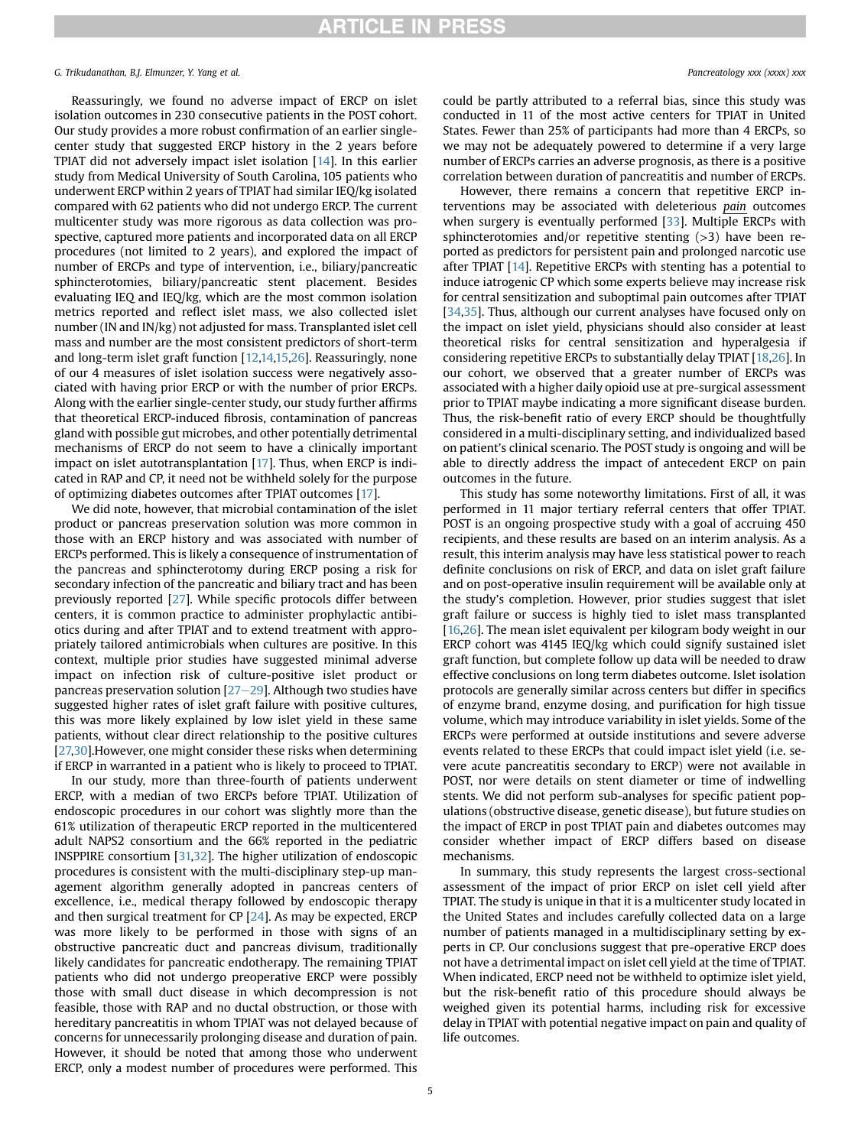# G. Trikudanathan, B.J. Elmunzer, Y. Yang et al. Pancreatology xxx (xxxx) xxx (xxxx) xxx

Reassuringly, we found no adverse impact of ERCP on islet isolation outcomes in 230 consecutive patients in the POST cohort. Our study provides a more robust confirmation of an earlier singlecenter study that suggested ERCP history in the 2 years before TPIAT did not adversely impact islet isolation [\[14](#page-5-7)]. In this earlier study from Medical University of South Carolina, 105 patients who underwent ERCP within 2 years of TPIAT had similar IEQ/kg isolated compared with 62 patients who did not undergo ERCP. The current multicenter study was more rigorous as data collection was prospective, captured more patients and incorporated data on all ERCP procedures (not limited to 2 years), and explored the impact of number of ERCPs and type of intervention, i.e., biliary/pancreatic sphincterotomies, biliary/pancreatic stent placement. Besides evaluating IEQ and IEQ/kg, which are the most common isolation metrics reported and reflect islet mass, we also collected islet number (IN and IN/kg) not adjusted for mass. Transplanted islet cell mass and number are the most consistent predictors of short-term and long-term islet graft function [[12,](#page-5-5)[14](#page-5-7)[,15,](#page-5-14)[26\]](#page-5-15). Reassuringly, none of our 4 measures of islet isolation success were negatively associated with having prior ERCP or with the number of prior ERCPs. Along with the earlier single-center study, our study further affirms that theoretical ERCP-induced fibrosis, contamination of pancreas gland with possible gut microbes, and other potentially detrimental mechanisms of ERCP do not seem to have a clinically important impact on islet autotransplantation [\[17\]](#page-5-8). Thus, when ERCP is indicated in RAP and CP, it need not be withheld solely for the purpose of optimizing diabetes outcomes after TPIAT outcomes [[17](#page-5-8)].

We did note, however, that microbial contamination of the islet product or pancreas preservation solution was more common in those with an ERCP history and was associated with number of ERCPs performed. This is likely a consequence of instrumentation of the pancreas and sphincterotomy during ERCP posing a risk for secondary infection of the pancreatic and biliary tract and has been previously reported [\[27\]](#page-5-16). While specific protocols differ between centers, it is common practice to administer prophylactic antibiotics during and after TPIAT and to extend treatment with appropriately tailored antimicrobials when cultures are positive. In this context, multiple prior studies have suggested minimal adverse impact on infection risk of culture-positive islet product or pancreas preservation solution  $[27-29]$  $[27-29]$  $[27-29]$  $[27-29]$  $[27-29]$ . Although two studies have suggested higher rates of islet graft failure with positive cultures, this was more likely explained by low islet yield in these same patients, without clear direct relationship to the positive cultures [[27,](#page-5-16)[30\]](#page-5-17).However, one might consider these risks when determining if ERCP in warranted in a patient who is likely to proceed to TPIAT.

In our study, more than three-fourth of patients underwent ERCP, with a median of two ERCPs before TPIAT. Utilization of endoscopic procedures in our cohort was slightly more than the 61% utilization of therapeutic ERCP reported in the multicentered adult NAPS2 consortium and the 66% reported in the pediatric INSPPIRE consortium [[31,](#page-5-18)[32](#page-6-0)]. The higher utilization of endoscopic procedures is consistent with the multi-disciplinary step-up management algorithm generally adopted in pancreas centers of excellence, i.e., medical therapy followed by endoscopic therapy and then surgical treatment for CP [\[24\]](#page-5-11). As may be expected, ERCP was more likely to be performed in those with signs of an obstructive pancreatic duct and pancreas divisum, traditionally likely candidates for pancreatic endotherapy. The remaining TPIAT patients who did not undergo preoperative ERCP were possibly those with small duct disease in which decompression is not feasible, those with RAP and no ductal obstruction, or those with hereditary pancreatitis in whom TPIAT was not delayed because of concerns for unnecessarily prolonging disease and duration of pain. However, it should be noted that among those who underwent ERCP, only a modest number of procedures were performed. This

could be partly attributed to a referral bias, since this study was conducted in 11 of the most active centers for TPIAT in United States. Fewer than 25% of participants had more than 4 ERCPs, so we may not be adequately powered to determine if a very large number of ERCPs carries an adverse prognosis, as there is a positive correlation between duration of pancreatitis and number of ERCPs.

However, there remains a concern that repetitive ERCP interventions may be associated with deleterious pain outcomes when surgery is eventually performed [\[33\]](#page-6-1). Multiple ERCPs with sphincterotomies and/or repetitive stenting (>3) have been reported as predictors for persistent pain and prolonged narcotic use after TPIAT [\[14](#page-5-7)]. Repetitive ERCPs with stenting has a potential to induce iatrogenic CP which some experts believe may increase risk for central sensitization and suboptimal pain outcomes after TPIAT [[34](#page-6-2),[35](#page-6-3)]. Thus, although our current analyses have focused only on the impact on islet yield, physicians should also consider at least theoretical risks for central sensitization and hyperalgesia if considering repetitive ERCPs to substantially delay TPIAT [\[18](#page-5-9),[26](#page-5-15)]. In our cohort, we observed that a greater number of ERCPs was associated with a higher daily opioid use at pre-surgical assessment prior to TPIAT maybe indicating a more significant disease burden. Thus, the risk-benefit ratio of every ERCP should be thoughtfully considered in a multi-disciplinary setting, and individualized based on patient's clinical scenario. The POST study is ongoing and will be able to directly address the impact of antecedent ERCP on pain outcomes in the future.

This study has some noteworthy limitations. First of all, it was performed in 11 major tertiary referral centers that offer TPIAT. POST is an ongoing prospective study with a goal of accruing 450 recipients, and these results are based on an interim analysis. As a result, this interim analysis may have less statistical power to reach definite conclusions on risk of ERCP, and data on islet graft failure and on post-operative insulin requirement will be available only at the study's completion. However, prior studies suggest that islet graft failure or success is highly tied to islet mass transplanted [[16,](#page-5-19)[26\]](#page-5-15). The mean islet equivalent per kilogram body weight in our ERCP cohort was 4145 IEQ/kg which could signify sustained islet graft function, but complete follow up data will be needed to draw effective conclusions on long term diabetes outcome. Islet isolation protocols are generally similar across centers but differ in specifics of enzyme brand, enzyme dosing, and purification for high tissue volume, which may introduce variability in islet yields. Some of the ERCPs were performed at outside institutions and severe adverse events related to these ERCPs that could impact islet yield (i.e. severe acute pancreatitis secondary to ERCP) were not available in POST, nor were details on stent diameter or time of indwelling stents. We did not perform sub-analyses for specific patient populations (obstructive disease, genetic disease), but future studies on the impact of ERCP in post TPIAT pain and diabetes outcomes may consider whether impact of ERCP differs based on disease mechanisms.

In summary, this study represents the largest cross-sectional assessment of the impact of prior ERCP on islet cell yield after TPIAT. The study is unique in that it is a multicenter study located in the United States and includes carefully collected data on a large number of patients managed in a multidisciplinary setting by experts in CP. Our conclusions suggest that pre-operative ERCP does not have a detrimental impact on islet cell yield at the time of TPIAT. When indicated, ERCP need not be withheld to optimize islet yield, but the risk-benefit ratio of this procedure should always be weighed given its potential harms, including risk for excessive delay in TPIAT with potential negative impact on pain and quality of life outcomes.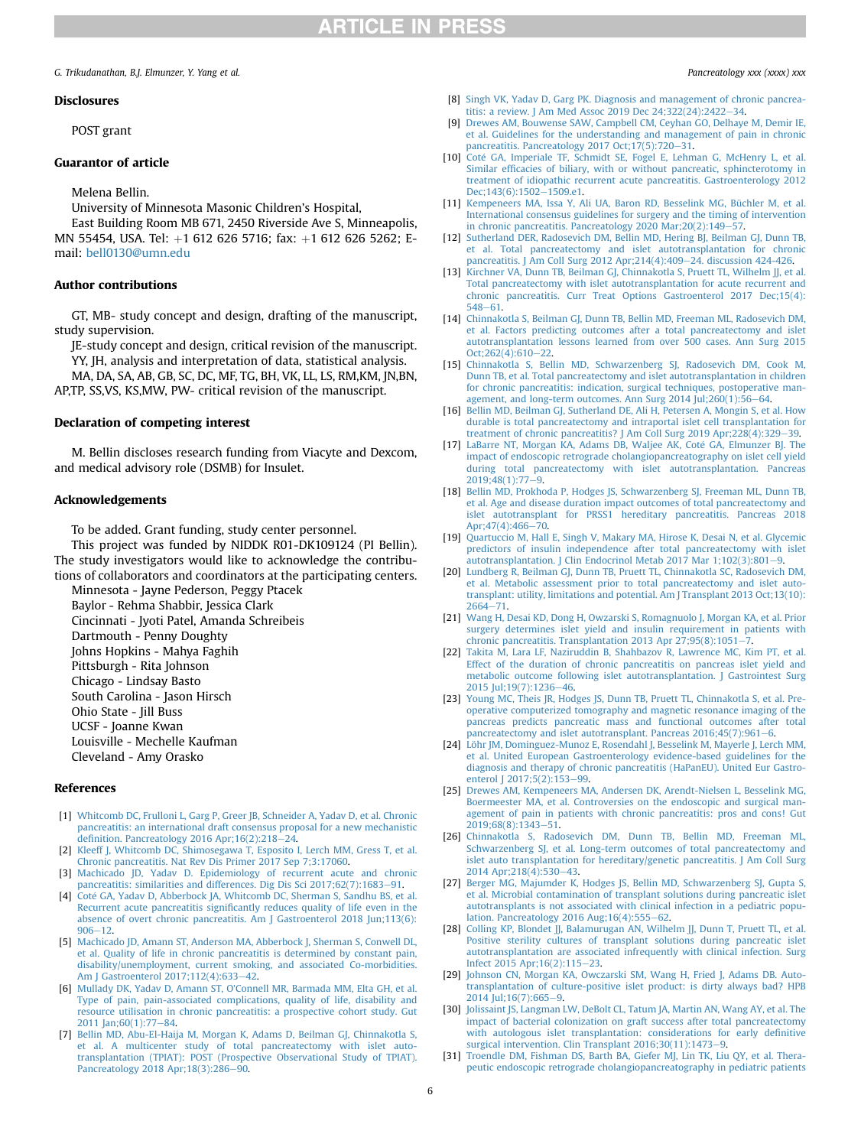### G. Trikudanathan, B.J. Elmunzer, Y. Yang et al. Pancreatology xxx (xxxx) xxx

### Disclosures

POST grant

# Guarantor of article

Melena Bellin.

University of Minnesota Masonic Children's Hospital,

East Building Room MB 671, 2450 Riverside Ave S, Minneapolis, MN 55454, USA. Tel: +1 612 626 5716; fax: +1 612 626 5262; Email: [bell0130@umn.edu](http://bell0130@umn.edu)

# Author contributions

GT, MB- study concept and design, drafting of the manuscript, study supervision.

JE-study concept and design, critical revision of the manuscript. YY, JH, analysis and interpretation of data, statistical analysis. MA, DA, SA, AB, GB, SC, DC, MF, TG, BH, VK, LL, LS, RM,KM, JN,BN,

AP,TP, SS,VS, KS,MW, PW- critical revision of the manuscript.

# Declaration of competing interest

M. Bellin discloses research funding from Viacyte and Dexcom, and medical advisory role (DSMB) for Insulet.

# Acknowledgements

To be added. Grant funding, study center personnel. This project was funded by NIDDK R01-DK109124 (PI Bellin). The study investigators would like to acknowledge the contributions of collaborators and coordinators at the participating centers.

Minnesota - Jayne Pederson, Peggy Ptacek Baylor - Rehma Shabbir, Jessica Clark Cincinnati - Jyoti Patel, Amanda Schreibeis Dartmouth - Penny Doughty Johns Hopkins - Mahya Faghih Pittsburgh - Rita Johnson Chicago - Lindsay Basto South Carolina - Jason Hirsch Ohio State - Jill Buss UCSF - Joanne Kwan Louisville - Mechelle Kaufman Cleveland - Amy Orasko

# References

- <span id="page-5-0"></span>[1] [Whitcomb DC, Frulloni L, Garg P, Greer JB, Schneider A, Yadav D, et al. Chronic](http://refhub.elsevier.com/S1424-3903(20)30841-3/sref1) [pancreatitis: an international draft consensus proposal for a new mechanistic](http://refhub.elsevier.com/S1424-3903(20)30841-3/sref1) definition. Pancreatology 2016  $Apr;16(2):218-24$ .
- <span id="page-5-10"></span>[2] [Kleeff J, Whitcomb DC, Shimosegawa T, Esposito I, Lerch MM, Gress T, et al.](http://refhub.elsevier.com/S1424-3903(20)30841-3/sref2) [Chronic pancreatitis. Nat Rev Dis Primer 2017 Sep 7;3:17060.](http://refhub.elsevier.com/S1424-3903(20)30841-3/sref2)
- [3] [Machicado JD, Yadav D. Epidemiology of recurrent acute and chronic](http://refhub.elsevier.com/S1424-3903(20)30841-3/sref3) [pancreatitis: similarities and differences. Dig Dis Sci 2017;62\(7\):1683](http://refhub.elsevier.com/S1424-3903(20)30841-3/sref3)-[91](http://refhub.elsevier.com/S1424-3903(20)30841-3/sref3).
- <span id="page-5-1"></span>[4] Coté GA, Yadav D, Abberbock JA, Whitcomb DC, Sherman S, Sandhu BS, et al. Recurrent acute pancreatitis signifi[cantly reduces quality of life even in the](http://refhub.elsevier.com/S1424-3903(20)30841-3/sref4) [absence of overt chronic pancreatitis. Am J Gastroenterol 2018 Jun;113\(6\):](http://refhub.elsevier.com/S1424-3903(20)30841-3/sref4)  $906 - 12.$  $906 - 12.$  $906 - 12.$  $906 - 12.$
- [5] [Machicado JD, Amann ST, Anderson MA, Abberbock J, Sherman S, Conwell DL,](http://refhub.elsevier.com/S1424-3903(20)30841-3/sref5) [et al. Quality of life in chronic pancreatitis is determined by constant pain,](http://refhub.elsevier.com/S1424-3903(20)30841-3/sref5) [disability/unemployment, current smoking, and associated Co-morbidities.](http://refhub.elsevier.com/S1424-3903(20)30841-3/sref5) [Am J Gastroenterol 2017;112\(4\):633](http://refhub.elsevier.com/S1424-3903(20)30841-3/sref5)-[42.](http://refhub.elsevier.com/S1424-3903(20)30841-3/sref5)
- [6] Mullady DK, Yadav D, Amann ST, O'[Connell MR, Barmada MM, Elta GH, et al.](http://refhub.elsevier.com/S1424-3903(20)30841-3/sref6) [Type of pain, pain-associated complications, quality of life, disability and](http://refhub.elsevier.com/S1424-3903(20)30841-3/sref6) [resource utilisation in chronic pancreatitis: a prospective cohort study. Gut](http://refhub.elsevier.com/S1424-3903(20)30841-3/sref6) [2011 Jan;60\(1\):77](http://refhub.elsevier.com/S1424-3903(20)30841-3/sref6)-[84](http://refhub.elsevier.com/S1424-3903(20)30841-3/sref6).
- <span id="page-5-4"></span>[7] [Bellin MD, Abu-El-Haija M, Morgan K, Adams D, Beilman GJ, Chinnakotla S,](http://refhub.elsevier.com/S1424-3903(20)30841-3/sref7) [et al. A multicenter study of total pancreatectomy with islet auto](http://refhub.elsevier.com/S1424-3903(20)30841-3/sref7)[transplantation \(TPIAT\): POST \(Prospective Observational Study of TPIAT\).](http://refhub.elsevier.com/S1424-3903(20)30841-3/sref7) [Pancreatology 2018 Apr;18\(3\):286](http://refhub.elsevier.com/S1424-3903(20)30841-3/sref7)-[90.](http://refhub.elsevier.com/S1424-3903(20)30841-3/sref7)
- <span id="page-5-2"></span>[8] [Singh VK, Yadav D, Garg PK. Diagnosis and management of chronic pancrea](http://refhub.elsevier.com/S1424-3903(20)30841-3/sref8)[titis: a review. J Am Med Assoc 2019 Dec 24;322\(24\):2422](http://refhub.elsevier.com/S1424-3903(20)30841-3/sref8)-[34.](http://refhub.elsevier.com/S1424-3903(20)30841-3/sref8)
- <span id="page-5-12"></span>[9] [Drewes AM, Bouwense SAW, Campbell CM, Ceyhan GO, Delhaye M, Demir IE,](http://refhub.elsevier.com/S1424-3903(20)30841-3/sref9) [et al. Guidelines for the understanding and management of pain in chronic](http://refhub.elsevier.com/S1424-3903(20)30841-3/sref9) pancreatitis. Pancreatology 2017 Oct;  $17(5)$ : 720-[31](http://refhub.elsevier.com/S1424-3903(20)30841-3/sref9).
- [10] Coté GA, Imperiale TF, Schmidt SE, Fogel E, Lehman G, McHenry L, et al. Similar effi[cacies of biliary, with or without pancreatic, sphincterotomy in](http://refhub.elsevier.com/S1424-3903(20)30841-3/sref10) [treatment of idiopathic recurrent acute pancreatitis. Gastroenterology 2012](http://refhub.elsevier.com/S1424-3903(20)30841-3/sref10) Dec:  $143(6)$ :  $1502 - 1509$ .e1.
- <span id="page-5-3"></span>[11] [Kempeneers MA, Issa Y, Ali UA, Baron RD, Besselink MG, Büchler M, et al.](http://refhub.elsevier.com/S1424-3903(20)30841-3/sref11) [International consensus guidelines for surgery and the timing of intervention](http://refhub.elsevier.com/S1424-3903(20)30841-3/sref11)<br>[in chronic pancreatitis. Pancreatology 2020 Mar;20\(2\):149](http://refhub.elsevier.com/S1424-3903(20)30841-3/sref11)–[57](http://refhub.elsevier.com/S1424-3903(20)30841-3/sref11).
- <span id="page-5-5"></span>[12] [Sutherland DER, Radosevich DM, Bellin MD, Hering BJ, Beilman GJ, Dunn TB,](http://refhub.elsevier.com/S1424-3903(20)30841-3/sref12) [et al. Total pancreatectomy and islet autotransplantation for chronic](http://refhub.elsevier.com/S1424-3903(20)30841-3/sref12) pancreatitis. J Am Coll Surg  $2012$  Apr;  $214(4)$ :  $409-24$ . discussion 424-426.
- <span id="page-5-6"></span>[13] [Kirchner VA, Dunn TB, Beilman GJ, Chinnakotla S, Pruett TL, Wilhelm JJ, et al.](http://refhub.elsevier.com/S1424-3903(20)30841-3/sref13) [Total pancreatectomy with islet autotransplantation for acute recurrent and](http://refhub.elsevier.com/S1424-3903(20)30841-3/sref13) [chronic pancreatitis. Curr Treat Options Gastroenterol 2017 Dec;15\(4\):](http://refhub.elsevier.com/S1424-3903(20)30841-3/sref13)  $548 - 61$  $548 - 61$
- <span id="page-5-7"></span>[14] [Chinnakotla S, Beilman GJ, Dunn TB, Bellin MD, Freeman ML, Radosevich DM,](http://refhub.elsevier.com/S1424-3903(20)30841-3/sref14) [et al. Factors predicting outcomes after a total pancreatectomy and islet](http://refhub.elsevier.com/S1424-3903(20)30841-3/sref14) [autotransplantation lessons learned from over 500 cases. Ann Surg 2015](http://refhub.elsevier.com/S1424-3903(20)30841-3/sref14)  $Oct:262(4):610-22.$  $Oct:262(4):610-22.$
- <span id="page-5-14"></span>[15] [Chinnakotla S, Bellin MD, Schwarzenberg SJ, Radosevich DM, Cook M,](http://refhub.elsevier.com/S1424-3903(20)30841-3/sref15) [Dunn TB, et al. Total pancreatectomy and islet autotransplantation in children](http://refhub.elsevier.com/S1424-3903(20)30841-3/sref15) [for chronic pancreatitis: indication, surgical techniques, postoperative man](http://refhub.elsevier.com/S1424-3903(20)30841-3/sref15)[agement, and long-term outcomes. Ann Surg 2014 Jul;260\(1\):56](http://refhub.elsevier.com/S1424-3903(20)30841-3/sref15)-[64.](http://refhub.elsevier.com/S1424-3903(20)30841-3/sref15)
- <span id="page-5-19"></span>[16] [Bellin MD, Beilman GJ, Sutherland DE, Ali H, Petersen A, Mongin S, et al. How](http://refhub.elsevier.com/S1424-3903(20)30841-3/sref16) [durable is total pancreatectomy and intraportal islet cell transplantation for](http://refhub.elsevier.com/S1424-3903(20)30841-3/sref16) [treatment of chronic pancreatitis? J Am Coll Surg 2019 Apr;228\(4\):329](http://refhub.elsevier.com/S1424-3903(20)30841-3/sref16)-[39.](http://refhub.elsevier.com/S1424-3903(20)30841-3/sref16)
- <span id="page-5-8"></span>[17] [LaBarre NT, Morgan KA, Adams DB, Waljee AK, Cote GA, Elmunzer BJ. The](http://refhub.elsevier.com/S1424-3903(20)30841-3/sref17) [impact of endoscopic retrograde cholangiopancreatography on islet cell yield](http://refhub.elsevier.com/S1424-3903(20)30841-3/sref17) [during total pancreatectomy with islet autotransplantation. Pancreas](http://refhub.elsevier.com/S1424-3903(20)30841-3/sref17)<br>[2019;48\(1\):77](http://refhub.elsevier.com/S1424-3903(20)30841-3/sref17)–[9](http://refhub.elsevier.com/S1424-3903(20)30841-3/sref17).
- <span id="page-5-9"></span>[18] [Bellin MD, Prokhoda P, Hodges JS, Schwarzenberg SJ, Freeman ML, Dunn TB,](http://refhub.elsevier.com/S1424-3903(20)30841-3/sref18) [et al. Age and disease duration impact outcomes of total pancreatectomy and](http://refhub.elsevier.com/S1424-3903(20)30841-3/sref18) [islet autotransplant for PRSS1 hereditary pancreatitis. Pancreas 2018](http://refhub.elsevier.com/S1424-3903(20)30841-3/sref18) Apr:47(4):466-[70.](http://refhub.elsevier.com/S1424-3903(20)30841-3/sref18)
- [19] [Quartuccio M, Hall E, Singh V, Makary MA, Hirose K, Desai N, et al. Glycemic](http://refhub.elsevier.com/S1424-3903(20)30841-3/sref19) [predictors of insulin independence after total pancreatectomy with islet](http://refhub.elsevier.com/S1424-3903(20)30841-3/sref19) [autotransplantation. J Clin Endocrinol Metab 2017 Mar 1;102\(3\):801](http://refhub.elsevier.com/S1424-3903(20)30841-3/sref19)–[9.](http://refhub.elsevier.com/S1424-3903(20)30841-3/sref19)
- [20] [Lundberg R, Beilman GJ, Dunn TB, Pruett TL, Chinnakotla SC, Radosevich DM,](http://refhub.elsevier.com/S1424-3903(20)30841-3/sref20) [et al. Metabolic assessment prior to total pancreatectomy and islet auto](http://refhub.elsevier.com/S1424-3903(20)30841-3/sref20)[transplant: utility, limitations and potential. Am J Transplant 2013 Oct;13\(10\):](http://refhub.elsevier.com/S1424-3903(20)30841-3/sref20)  $2664 - 71$  $2664 - 71$ .
- [21] [Wang H, Desai KD, Dong H, Owzarski S, Romagnuolo J, Morgan KA, et al. Prior](http://refhub.elsevier.com/S1424-3903(20)30841-3/sref21) [surgery determines islet yield and insulin requirement in patients with](http://refhub.elsevier.com/S1424-3903(20)30841-3/sref21) chronic pancreatitis. Transplantation 2013 Apr  $27;95(8):1051-7$ .
- [22] [Takita M, Lara LF, Naziruddin B, Shahbazov R, Lawrence MC, Kim PT, et al.](http://refhub.elsevier.com/S1424-3903(20)30841-3/sref22) [Effect of the duration of chronic pancreatitis on pancreas islet yield and](http://refhub.elsevier.com/S1424-3903(20)30841-3/sref22) [metabolic outcome following islet autotransplantation. J Gastrointest Surg](http://refhub.elsevier.com/S1424-3903(20)30841-3/sref22) [2015 Jul;19\(7\):1236](http://refhub.elsevier.com/S1424-3903(20)30841-3/sref22)-[46.](http://refhub.elsevier.com/S1424-3903(20)30841-3/sref22)
- [23] [Young MC, Theis JR, Hodges JS, Dunn TB, Pruett TL, Chinnakotla S, et al. Pre](http://refhub.elsevier.com/S1424-3903(20)30841-3/sref23)[operative computerized tomography and magnetic resonance imaging of the](http://refhub.elsevier.com/S1424-3903(20)30841-3/sref23) [pancreas predicts pancreatic mass and functional outcomes after total](http://refhub.elsevier.com/S1424-3903(20)30841-3/sref23)  $\alpha$ ancreatectomy and islet autotransplant. Pancreas 201[6](http://refhub.elsevier.com/S1424-3903(20)30841-3/sref23);45(7):961–6.
- <span id="page-5-11"></span>[24] [L](http://refhub.elsevier.com/S1424-3903(20)30841-3/sref24)ö[hr JM, Dominguez-Munoz E, Rosendahl J, Besselink M, Mayerle J, Lerch MM,](http://refhub.elsevier.com/S1424-3903(20)30841-3/sref24) [et al. United European Gastroenterology evidence-based guidelines for the](http://refhub.elsevier.com/S1424-3903(20)30841-3/sref24) [diagnosis and therapy of chronic pancreatitis \(HaPanEU\). United Eur Gastro](http://refhub.elsevier.com/S1424-3903(20)30841-3/sref24)[enterol J 2017;5\(2\):153](http://refhub.elsevier.com/S1424-3903(20)30841-3/sref24)-[99](http://refhub.elsevier.com/S1424-3903(20)30841-3/sref24).
- <span id="page-5-13"></span>[25] [Drewes AM, Kempeneers MA, Andersen DK, Arendt-Nielsen L, Besselink MG,](http://refhub.elsevier.com/S1424-3903(20)30841-3/sref25) [Boermeester MA, et al. Controversies on the endoscopic and surgical man](http://refhub.elsevier.com/S1424-3903(20)30841-3/sref25)[agement of pain in patients with chronic pancreatitis: pros and cons! Gut](http://refhub.elsevier.com/S1424-3903(20)30841-3/sref25) [2019;68\(8\):1343](http://refhub.elsevier.com/S1424-3903(20)30841-3/sref25)-[51.](http://refhub.elsevier.com/S1424-3903(20)30841-3/sref25)
- <span id="page-5-15"></span>[26] [Chinnakotla S, Radosevich DM, Dunn TB, Bellin MD, Freeman ML,](http://refhub.elsevier.com/S1424-3903(20)30841-3/sref26) [Schwarzenberg SJ, et al. Long-term outcomes of total pancreatectomy and](http://refhub.elsevier.com/S1424-3903(20)30841-3/sref26) [islet auto transplantation for hereditary/genetic pancreatitis. J Am Coll Surg](http://refhub.elsevier.com/S1424-3903(20)30841-3/sref26) 2014 Apr:218(4):530-[43.](http://refhub.elsevier.com/S1424-3903(20)30841-3/sref26)
- <span id="page-5-16"></span>[27] [Berger MG, Majumder K, Hodges JS, Bellin MD, Schwarzenberg SJ, Gupta S,](http://refhub.elsevier.com/S1424-3903(20)30841-3/sref27) [et al. Microbial contamination of transplant solutions during pancreatic islet](http://refhub.elsevier.com/S1424-3903(20)30841-3/sref27) [autotransplants is not associated with clinical infection in a pediatric popu](http://refhub.elsevier.com/S1424-3903(20)30841-3/sref27)lation. Pancreatology 2016 Aug;  $16(4)$ : 555-[62.](http://refhub.elsevier.com/S1424-3903(20)30841-3/sref27)
- [28] [Colling KP, Blondet JJ, Balamurugan AN, Wilhelm JJ, Dunn T, Pruett TL, et al.](http://refhub.elsevier.com/S1424-3903(20)30841-3/sref28) [Positive sterility cultures of transplant solutions during pancreatic islet](http://refhub.elsevier.com/S1424-3903(20)30841-3/sref28) [autotransplantation are associated infrequently with clinical infection. Surg](http://refhub.elsevier.com/S1424-3903(20)30841-3/sref28) [Infect 2015 Apr;16\(2\):115](http://refhub.elsevier.com/S1424-3903(20)30841-3/sref28)-[23](http://refhub.elsevier.com/S1424-3903(20)30841-3/sref28).
- [29] [Johnson CN, Morgan KA, Owczarski SM, Wang H, Fried J, Adams DB. Auto](http://refhub.elsevier.com/S1424-3903(20)30841-3/sref29)[transplantation of culture-positive islet product: is dirty always bad? HPB](http://refhub.elsevier.com/S1424-3903(20)30841-3/sref29)  $2014$  Jul; 16(7): 665-[9](http://refhub.elsevier.com/S1424-3903(20)30841-3/sref29).
- <span id="page-5-17"></span>[30] [Jolissaint JS, Langman LW, DeBolt CL, Tatum JA, Martin AN, Wang AY, et al. The](http://refhub.elsevier.com/S1424-3903(20)30841-3/sref30) [impact of bacterial colonization on graft success after total pancreatectomy](http://refhub.elsevier.com/S1424-3903(20)30841-3/sref30) [with autologous islet transplantation: considerations for early de](http://refhub.elsevier.com/S1424-3903(20)30841-3/sref30)finitive surgical intervention. Clin Transplant  $2016;30(11):1473-9$  $2016;30(11):1473-9$ .
- <span id="page-5-18"></span>[31] [Troendle DM, Fishman DS, Barth BA, Giefer MJ, Lin TK, Liu QY, et al. Thera](http://refhub.elsevier.com/S1424-3903(20)30841-3/sref31)[peutic endoscopic retrograde cholangiopancreatography in pediatric patients](http://refhub.elsevier.com/S1424-3903(20)30841-3/sref31)